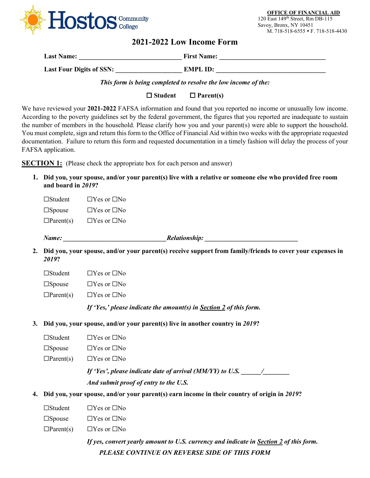

**OFFICE OF FINANCIAL AID** 120 East 149th Street, Rm DB-115 Savoy, Bronx, NY 10451 M. 718-518-6555 • F. 718-518-4430

# **2021-2022 Low Income Form**

| <b>Last Name:</b>        | <b>First Name:</b> |
|--------------------------|--------------------|
| Last Four Digits of SSN: | EMPL ID:           |

*This form is being completed to resolve the low income of the:*

**Student Parent(s)**

We have reviewed your **2021-2022** FAFSA information and found that you reported no income or unusually low income. According to the poverty guidelines set by the federal government, the figures that you reported are inadequate to sustain the number of members in the household. Please clarify how you and your parent(s) were able to support the household. You must complete, sign and return this form to the Office of Financial Aid within two weeks with the appropriate requested documentation. Failure to return this form and requested documentation in a timely fashion will delay the process of your FAFSA application.

**SECTION 1:** (Please check the appropriate box for each person and answer)

**1. Did you, your spouse, and/or your parent(s) live with a relative or someone else who provided free room and board in** *2019***?**

☐Student ☐Yes or ☐No ☐Spouse ☐Yes or ☐No  $\Box$ Parent(s)  $\Box$  Yes or  $\Box$  No

*Name: \_\_\_\_\_\_\_\_\_\_\_\_\_\_\_\_\_\_\_\_\_\_\_\_\_\_\_\_\_\_\_Relationship: \_\_\_\_\_\_\_\_\_\_\_\_\_\_\_\_\_\_\_\_\_\_\_\_\_\_\_\_*

**2. Did you, your spouse, and/or your parent(s) receive support from family/friends to cover your expenses in** *2019***?**

 $\square$ Spouse  $\square$  Yes or  $\square$ No

 $\Box$ Parent(s)  $\Box$  Yes or  $\Box$  No

*If 'Yes,' please indicate the amount(s) in Section 2 of this form.*

- **3. Did you, your spouse, and/or your parent(s) live in another country in** *2019***?**
	- ☐Student ☐Yes or ☐No
	- ☐Spouse ☐Yes or ☐No
	- $\Box$ Parent(s)  $\Box$  Yes or  $\Box$  No

*If 'Yes', please indicate date of arrival (MM/YY) to U.S. \_\_\_\_\_\_/\_\_\_\_\_\_\_\_*

*And submit proof of entry to the U.S.*

- **4. Did you, your spouse, and/or your parent(s) earn income in their country of origin in** *2019***?**
	- ☐Student ☐Yes or ☐No
	- $\square$ Spouse  $\square$  Yes or  $\square$  No
	- $\Box$ Parent(s)  $\Box$  Yes or  $\Box$  No

*PLEASE CONTINUE ON REVERSE SIDE OF THIS FORM If yes, convert yearly amount to U.S. currency and indicate in Section 2 of this form.*